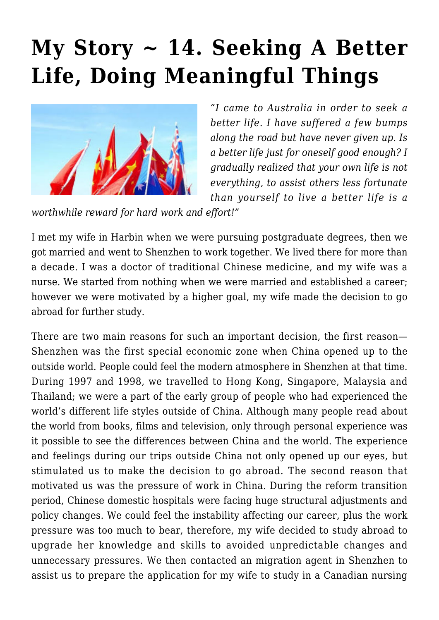## **[My Story ~ 14. Seeking A Better](https://rozenbergquarterly.com/my-story-14-seeking-a-better-life-doing-meaningful-things/) [Life, Doing Meaningful Things](https://rozenbergquarterly.com/my-story-14-seeking-a-better-life-doing-meaningful-things/)**



*"I came to Australia in order to seek a better life. I have suffered a few bumps along the road but have never given up. Is a better life just for oneself good enough? I gradually realized that your own life is not everything, to assist others less fortunate than yourself to live a better life is a*

*worthwhile reward for hard work and effort!"*

I met my wife in Harbin when we were pursuing postgraduate degrees, then we got married and went to Shenzhen to work together. We lived there for more than a decade. I was a doctor of traditional Chinese medicine, and my wife was a nurse. We started from nothing when we were married and established a career; however we were motivated by a higher goal, my wife made the decision to go abroad for further study.

There are two main reasons for such an important decision, the first reason— Shenzhen was the first special economic zone when China opened up to the outside world. People could feel the modern atmosphere in Shenzhen at that time. During 1997 and 1998, we travelled to Hong Kong, Singapore, Malaysia and Thailand; we were a part of the early group of people who had experienced the world's different life styles outside of China. Although many people read about the world from books, films and television, only through personal experience was it possible to see the differences between China and the world. The experience and feelings during our trips outside China not only opened up our eyes, but stimulated us to make the decision to go abroad. The second reason that motivated us was the pressure of work in China. During the reform transition period, Chinese domestic hospitals were facing huge structural adjustments and policy changes. We could feel the instability affecting our career, plus the work pressure was too much to bear, therefore, my wife decided to study abroad to upgrade her knowledge and skills to avoided unpredictable changes and unnecessary pressures. We then contacted an migration agent in Shenzhen to assist us to prepare the application for my wife to study in a Canadian nursing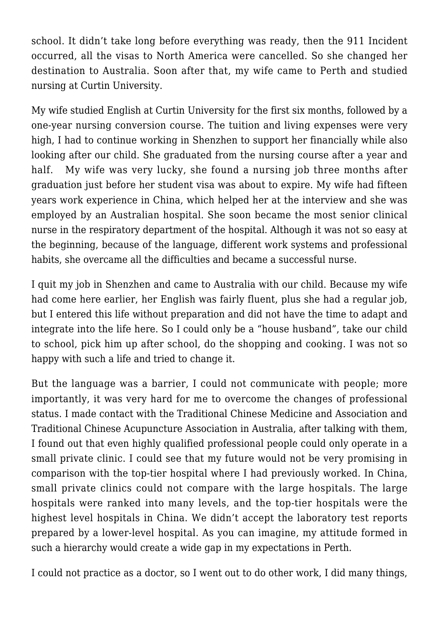school. It didn't take long before everything was ready, then the 911 Incident occurred, all the visas to North America were cancelled. So she changed her destination to Australia. Soon after that, my wife came to Perth and studied nursing at Curtin University.

My wife studied English at Curtin University for the first six months, followed by a one-year nursing conversion course. The tuition and living expenses were very high, I had to continue working in Shenzhen to support her financially while also looking after our child. She graduated from the nursing course after a year and half. My wife was very lucky, she found a nursing job three months after graduation just before her student visa was about to expire. My wife had fifteen years work experience in China, which helped her at the interview and she was employed by an Australian hospital. She soon became the most senior clinical nurse in the respiratory department of the hospital. Although it was not so easy at the beginning, because of the language, different work systems and professional habits, she overcame all the difficulties and became a successful nurse.

I quit my job in Shenzhen and came to Australia with our child. Because my wife had come here earlier, her English was fairly fluent, plus she had a regular job, but I entered this life without preparation and did not have the time to adapt and integrate into the life here. So I could only be a "house husband", take our child to school, pick him up after school, do the shopping and cooking. I was not so happy with such a life and tried to change it.

But the language was a barrier, I could not communicate with people; more importantly, it was very hard for me to overcome the changes of professional status. I made contact with the Traditional Chinese Medicine and Association and Traditional Chinese Acupuncture Association in Australia, after talking with them, I found out that even highly qualified professional people could only operate in a small private clinic. I could see that my future would not be very promising in comparison with the top-tier hospital where I had previously worked. In China, small private clinics could not compare with the large hospitals. The large hospitals were ranked into many levels, and the top-tier hospitals were the highest level hospitals in China. We didn't accept the laboratory test reports prepared by a lower-level hospital. As you can imagine, my attitude formed in such a hierarchy would create a wide gap in my expectations in Perth.

I could not practice as a doctor, so I went out to do other work, I did many things,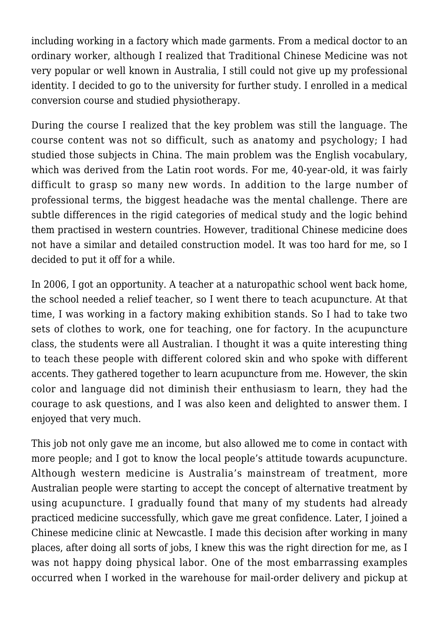including working in a factory which made garments. From a medical doctor to an ordinary worker, although I realized that Traditional Chinese Medicine was not very popular or well known in Australia, I still could not give up my professional identity. I decided to go to the university for further study. I enrolled in a medical conversion course and studied physiotherapy.

During the course I realized that the key problem was still the language. The course content was not so difficult, such as anatomy and psychology; I had studied those subjects in China. The main problem was the English vocabulary, which was derived from the Latin root words. For me, 40-year-old, it was fairly difficult to grasp so many new words. In addition to the large number of professional terms, the biggest headache was the mental challenge. There are subtle differences in the rigid categories of medical study and the logic behind them practised in western countries. However, traditional Chinese medicine does not have a similar and detailed construction model. It was too hard for me, so I decided to put it off for a while.

In 2006, I got an opportunity. A teacher at a naturopathic school went back home, the school needed a relief teacher, so I went there to teach acupuncture. At that time, I was working in a factory making exhibition stands. So I had to take two sets of clothes to work, one for teaching, one for factory. In the acupuncture class, the students were all Australian. I thought it was a quite interesting thing to teach these people with different colored skin and who spoke with different accents. They gathered together to learn acupuncture from me. However, the skin color and language did not diminish their enthusiasm to learn, they had the courage to ask questions, and I was also keen and delighted to answer them. I enjoyed that very much.

This job not only gave me an income, but also allowed me to come in contact with more people; and I got to know the local people's attitude towards acupuncture. Although western medicine is Australia's mainstream of treatment, more Australian people were starting to accept the concept of alternative treatment by using acupuncture. I gradually found that many of my students had already practiced medicine successfully, which gave me great confidence. Later, I joined a Chinese medicine clinic at Newcastle. I made this decision after working in many places, after doing all sorts of jobs, I knew this was the right direction for me, as I was not happy doing physical labor. One of the most embarrassing examples occurred when I worked in the warehouse for mail-order delivery and pickup at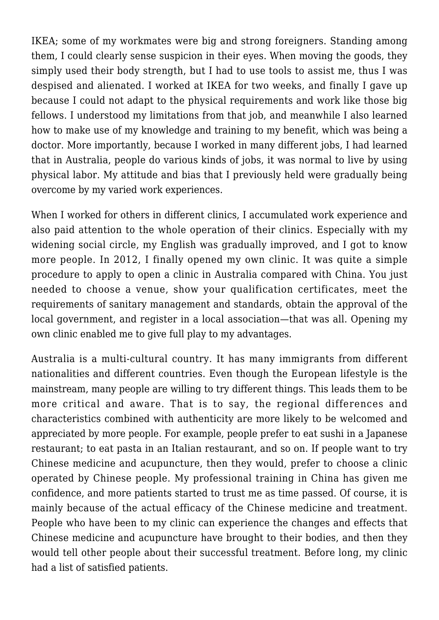IKEA; some of my workmates were big and strong foreigners. Standing among them, I could clearly sense suspicion in their eyes. When moving the goods, they simply used their body strength, but I had to use tools to assist me, thus I was despised and alienated. I worked at IKEA for two weeks, and finally I gave up because I could not adapt to the physical requirements and work like those big fellows. I understood my limitations from that job, and meanwhile I also learned how to make use of my knowledge and training to my benefit, which was being a doctor. More importantly, because I worked in many different jobs, I had learned that in Australia, people do various kinds of jobs, it was normal to live by using physical labor. My attitude and bias that I previously held were gradually being overcome by my varied work experiences.

When I worked for others in different clinics, I accumulated work experience and also paid attention to the whole operation of their clinics. Especially with my widening social circle, my English was gradually improved, and I got to know more people. In 2012, I finally opened my own clinic. It was quite a simple procedure to apply to open a clinic in Australia compared with China. You just needed to choose a venue, show your qualification certificates, meet the requirements of sanitary management and standards, obtain the approval of the local government, and register in a local association—that was all. Opening my own clinic enabled me to give full play to my advantages.

Australia is a multi-cultural country. It has many immigrants from different nationalities and different countries. Even though the European lifestyle is the mainstream, many people are willing to try different things. This leads them to be more critical and aware. That is to say, the regional differences and characteristics combined with authenticity are more likely to be welcomed and appreciated by more people. For example, people prefer to eat sushi in a Japanese restaurant; to eat pasta in an Italian restaurant, and so on. If people want to try Chinese medicine and acupuncture, then they would, prefer to choose a clinic operated by Chinese people. My professional training in China has given me confidence, and more patients started to trust me as time passed. Of course, it is mainly because of the actual efficacy of the Chinese medicine and treatment. People who have been to my clinic can experience the changes and effects that Chinese medicine and acupuncture have brought to their bodies, and then they would tell other people about their successful treatment. Before long, my clinic had a list of satisfied patients.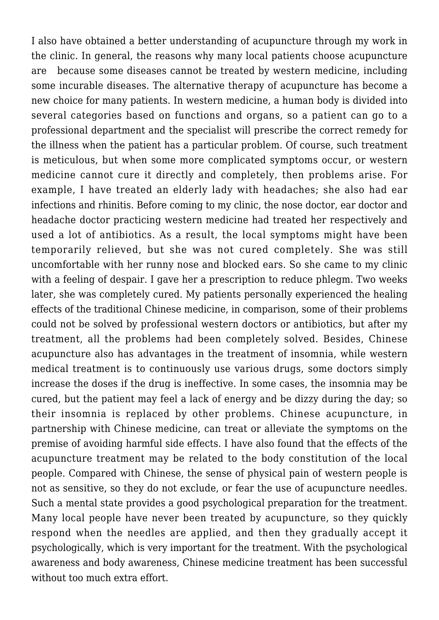I also have obtained a better understanding of acupuncture through my work in the clinic. In general, the reasons why many local patients choose acupuncture are because some diseases cannot be treated by western medicine, including some incurable diseases. The alternative therapy of acupuncture has become a new choice for many patients. In western medicine, a human body is divided into several categories based on functions and organs, so a patient can go to a professional department and the specialist will prescribe the correct remedy for the illness when the patient has a particular problem. Of course, such treatment is meticulous, but when some more complicated symptoms occur, or western medicine cannot cure it directly and completely, then problems arise. For example, I have treated an elderly lady with headaches; she also had ear infections and rhinitis. Before coming to my clinic, the nose doctor, ear doctor and headache doctor practicing western medicine had treated her respectively and used a lot of antibiotics. As a result, the local symptoms might have been temporarily relieved, but she was not cured completely. She was still uncomfortable with her runny nose and blocked ears. So she came to my clinic with a feeling of despair. I gave her a prescription to reduce phlegm. Two weeks later, she was completely cured. My patients personally experienced the healing effects of the traditional Chinese medicine, in comparison, some of their problems could not be solved by professional western doctors or antibiotics, but after my treatment, all the problems had been completely solved. Besides, Chinese acupuncture also has advantages in the treatment of insomnia, while western medical treatment is to continuously use various drugs, some doctors simply increase the doses if the drug is ineffective. In some cases, the insomnia may be cured, but the patient may feel a lack of energy and be dizzy during the day; so their insomnia is replaced by other problems. Chinese acupuncture, in partnership with Chinese medicine, can treat or alleviate the symptoms on the premise of avoiding harmful side effects. I have also found that the effects of the acupuncture treatment may be related to the body constitution of the local people. Compared with Chinese, the sense of physical pain of western people is not as sensitive, so they do not exclude, or fear the use of acupuncture needles. Such a mental state provides a good psychological preparation for the treatment. Many local people have never been treated by acupuncture, so they quickly respond when the needles are applied, and then they gradually accept it psychologically, which is very important for the treatment. With the psychological awareness and body awareness, Chinese medicine treatment has been successful without too much extra effort.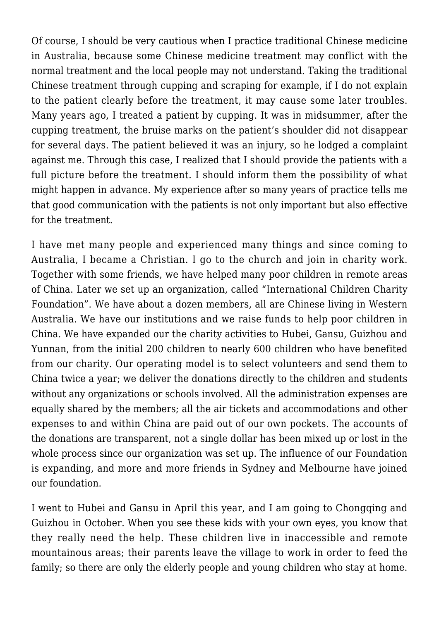Of course, I should be very cautious when I practice traditional Chinese medicine in Australia, because some Chinese medicine treatment may conflict with the normal treatment and the local people may not understand. Taking the traditional Chinese treatment through cupping and scraping for example, if I do not explain to the patient clearly before the treatment, it may cause some later troubles. Many years ago, I treated a patient by cupping. It was in midsummer, after the cupping treatment, the bruise marks on the patient's shoulder did not disappear for several days. The patient believed it was an injury, so he lodged a complaint against me. Through this case, I realized that I should provide the patients with a full picture before the treatment. I should inform them the possibility of what might happen in advance. My experience after so many years of practice tells me that good communication with the patients is not only important but also effective for the treatment.

I have met many people and experienced many things and since coming to Australia, I became a Christian. I go to the church and join in charity work. Together with some friends, we have helped many poor children in remote areas of China. Later we set up an organization, called "International Children Charity Foundation". We have about a dozen members, all are Chinese living in Western Australia. We have our institutions and we raise funds to help poor children in China. We have expanded our the charity activities to Hubei, Gansu, Guizhou and Yunnan, from the initial 200 children to nearly 600 children who have benefited from our charity. Our operating model is to select volunteers and send them to China twice a year; we deliver the donations directly to the children and students without any organizations or schools involved. All the administration expenses are equally shared by the members; all the air tickets and accommodations and other expenses to and within China are paid out of our own pockets. The accounts of the donations are transparent, not a single dollar has been mixed up or lost in the whole process since our organization was set up. The influence of our Foundation is expanding, and more and more friends in Sydney and Melbourne have joined our foundation.

I went to Hubei and Gansu in April this year, and I am going to Chongqing and Guizhou in October. When you see these kids with your own eyes, you know that they really need the help. These children live in inaccessible and remote mountainous areas; their parents leave the village to work in order to feed the family; so there are only the elderly people and young children who stay at home.